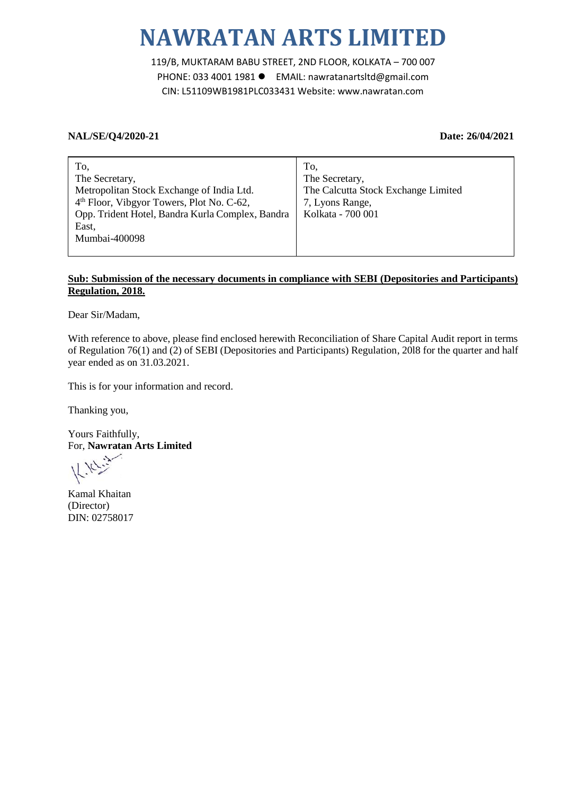# **NAWRATAN ARTS LIMITED**

119/B, MUKTARAM BABU STREET, 2ND FLOOR, KOLKATA – 700 007 PHONE: 033 4001 1981 EMAIL: nawratanartsltd@gmail.com CIN: L51109WB1981PLC033431 Website: www.nawratan.com

### **NAL/SE/Q4/2020-21 Date: 26/04/2021**

| To,                                                   | To.                                 |
|-------------------------------------------------------|-------------------------------------|
| The Secretary,                                        | The Secretary,                      |
| Metropolitan Stock Exchange of India Ltd.             | The Calcutta Stock Exchange Limited |
| 4 <sup>th</sup> Floor, Vibgyor Towers, Plot No. C-62, | 7, Lyons Range,                     |
| Opp. Trident Hotel, Bandra Kurla Complex, Bandra      | Kolkata - 700 001                   |
| East,                                                 |                                     |
| Mumbai-400098                                         |                                     |
|                                                       |                                     |

#### **Sub: Submission of the necessary documents in compliance with SEBI (Depositories and Participants) Regulation, 2018.**

Dear Sir/Madam,

With reference to above, please find enclosed herewith Reconciliation of Share Capital Audit report in terms of Regulation 76(1) and (2) of SEBI (Depositories and Participants) Regulation, 20l8 for the quarter and half year ended as on 31.03.2021.

This is for your information and record.

Thanking you,

Yours Faithfully, For, **Nawratan Arts Limited**

Kamal Khaitan (Director) DIN: 02758017